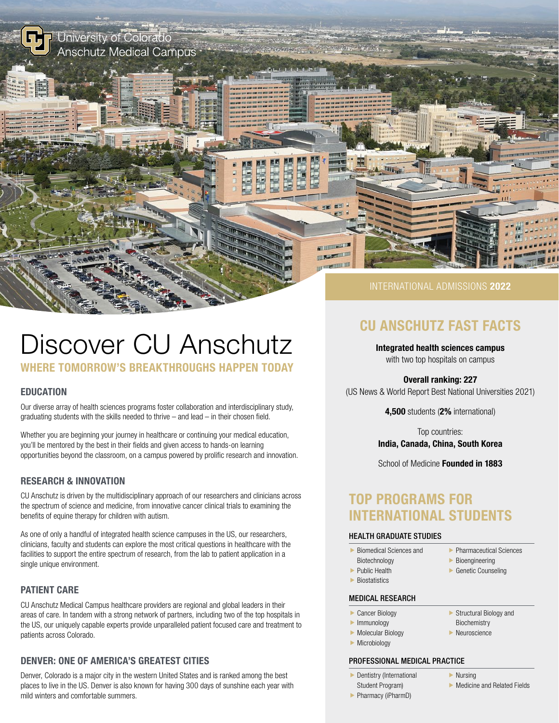

# Discover CU Anschutz

# WHERE TOMORROW'S BREAKTHROUGHS HAPPEN TODAY

# EDUCATION

Our diverse array of health sciences programs foster collaboration and interdisciplinary study, graduating students with the skills needed to thrive – and lead – in their chosen field.

Whether you are beginning your journey in healthcare or continuing your medical education, you'll be mentored by the best in their fields and given access to hands-on learning opportunities beyond the classroom, on a campus powered by prolific research and innovation.

# RESEARCH & INNOVATION

CU Anschutz is driven by the multidisciplinary approach of our researchers and clinicians across the spectrum of science and medicine, from innovative cancer clinical trials to examining the benefits of equine therapy for children with autism.

As one of only a handful of integrated health science campuses in the US, our researchers, clinicians, faculty and students can explore the most critical questions in healthcare with the facilities to support the entire spectrum of research, from the lab to patient application in a single unique environment.

# PATIENT CARE

CU Anschutz Medical Campus healthcare providers are regional and global leaders in their areas of care. In tandem with a strong network of partners, including two of the top hospitals in the US, our uniquely capable experts provide unparalleled patient focused care and treatment to patients across Colorado.

# DENVER: ONE OF AMERICA'S GREATEST CITIES

Denver, Colorado is a major city in the western United States and is ranked among the best places to live in the US. Denver is also known for having 300 days of sunshine each year with mild winters and comfortable summers.

# CU ANSCHUTZ FAST FACTS

Integrated health sciences campus with two top hospitals on campus

Overall ranking: 227

(US News & World Report Best National Universities 2021)

4,500 students (2% international)

Top countries: India, Canada, China, South Korea

School of Medicine **Founded in 1883** 

# TOP PROGRAMS FOR INTERNATIONAL STUDENTS

#### HEALTH GRADUATE STUDIES

- $\blacktriangleright$  Biomedical Sciences and
	- Biotechnology
- $\blacktriangleright$  Public Health
- $\blacktriangleright$  Biostatistics
- 
- MEDICAL RESEARCH
- $\blacktriangleright$  Cancer Biology
- $\blacktriangleright$  Immunology
- Biochemistry f Neuroscience

 $\blacktriangleright$  Structural Biology and

 $\blacktriangleright$  Molecular Biology  $\blacktriangleright$  Microbiology

#### PROFESSIONAL MEDICAL PRACTICE

- $\blacktriangleright$  Dentistry (International Student Program)
- $\blacktriangleright$  Nursing
- $\blacktriangleright$  Medicine and Related Fields

 $\blacktriangleright$  Pharmaceutical Sciences  $\blacktriangleright$  Bioengineering  $\blacktriangleright$  Genetic Counseling

**Pharmacy (iPharmD)**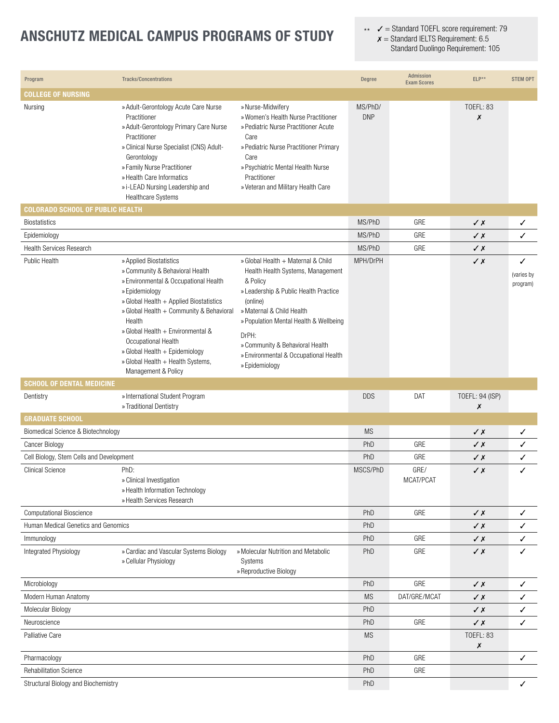# ANSCHUTZ MEDICAL CAMPUS PROGRAMS OF STUDY

 $\mathcal{J}$  = Standard TOEFL score requirement: 79  $x =$  Standard IELTS Requirement: 6.5 Standard Duolingo Requirement: 105 \*\*

| Program                                  | <b>Tracks/Concentrations</b>                                                                                                                                                                                                                                                                                                                                                     |                                                                                                                                                                                                                                                                                                                        | <b>Degree</b>         | Admission<br><b>Exam Scores</b> | ELP**                 | <b>STEM OPT</b>             |
|------------------------------------------|----------------------------------------------------------------------------------------------------------------------------------------------------------------------------------------------------------------------------------------------------------------------------------------------------------------------------------------------------------------------------------|------------------------------------------------------------------------------------------------------------------------------------------------------------------------------------------------------------------------------------------------------------------------------------------------------------------------|-----------------------|---------------------------------|-----------------------|-----------------------------|
| <b>COLLEGE OF NURSING</b>                |                                                                                                                                                                                                                                                                                                                                                                                  |                                                                                                                                                                                                                                                                                                                        |                       |                                 |                       |                             |
| Nursing                                  | » Adult-Gerontology Acute Care Nurse<br>Practitioner<br>» Adult-Gerontology Primary Care Nurse<br>Practitioner<br>» Clinical Nurse Specialist (CNS) Adult-<br>Gerontology<br>» Family Nurse Practitioner<br>» Health Care Informatics<br>» i-LEAD Nursing Leadership and<br>Healthcare Systems                                                                                   | » Nurse-Midwifery<br>» Women's Health Nurse Practitioner<br>» Pediatric Nurse Practitioner Acute<br>Care<br>» Pediatric Nurse Practitioner Primary<br>Care<br>» Psychiatric Mental Health Nurse<br>Practitioner<br>» Veteran and Military Health Care                                                                  | MS/PhD/<br><b>DNP</b> |                                 | <b>TOEFL: 83</b><br>Х |                             |
| <b>COLORADO SCHOOL OF PUBLIC HEALTH</b>  |                                                                                                                                                                                                                                                                                                                                                                                  |                                                                                                                                                                                                                                                                                                                        |                       |                                 |                       |                             |
| <b>Biostatistics</b>                     |                                                                                                                                                                                                                                                                                                                                                                                  |                                                                                                                                                                                                                                                                                                                        | MS/PhD                | GRE                             | √X                    | ✓                           |
| Epidemiology                             |                                                                                                                                                                                                                                                                                                                                                                                  |                                                                                                                                                                                                                                                                                                                        | MS/PhD                | GRE                             | $\sqrt{x}$            | ✓                           |
| <b>Health Services Research</b>          |                                                                                                                                                                                                                                                                                                                                                                                  |                                                                                                                                                                                                                                                                                                                        | MS/PhD                | GRE                             | $\sqrt{x}$            |                             |
| Public Health                            | » Applied Biostatistics<br>» Community & Behavioral Health<br>» Environmental & Occupational Health<br>» Epidemiology<br>» Global Health + Applied Biostatistics<br>» Global Health + Community & Behavioral<br>Health<br>» Global Health + Environmental &<br>Occupational Health<br>» Global Health + Epidemiology<br>» Global Health + Health Systems,<br>Management & Policy | » Global Health + Maternal & Child<br>Health Health Systems, Management<br>& Policy<br>» Leadership & Public Health Practice<br>(online)<br>» Maternal & Child Health<br>» Population Mental Health & Wellbeing<br>DrPH:<br>» Community & Behavioral Health<br>» Environmental & Occupational Health<br>» Epidemiology | MPH/DrPH              |                                 | √X                    | ✓<br>(varies by<br>program) |
| <b>SCHOOL OF DENTAL MEDICINE</b>         |                                                                                                                                                                                                                                                                                                                                                                                  |                                                                                                                                                                                                                                                                                                                        |                       |                                 |                       |                             |
|                                          |                                                                                                                                                                                                                                                                                                                                                                                  |                                                                                                                                                                                                                                                                                                                        |                       |                                 |                       |                             |
| Dentistry                                | » International Student Program<br>» Traditional Dentistry                                                                                                                                                                                                                                                                                                                       |                                                                                                                                                                                                                                                                                                                        | <b>DDS</b>            | DAT                             | TOEFL: 94 (ISP)<br>Х  |                             |
| <b>GRADUATE SCHOOL</b>                   |                                                                                                                                                                                                                                                                                                                                                                                  |                                                                                                                                                                                                                                                                                                                        |                       |                                 |                       |                             |
| Biomedical Science & Biotechnology       |                                                                                                                                                                                                                                                                                                                                                                                  |                                                                                                                                                                                                                                                                                                                        | <b>MS</b>             |                                 | $\sqrt{x}$            | ✓                           |
| Cancer Biology                           |                                                                                                                                                                                                                                                                                                                                                                                  |                                                                                                                                                                                                                                                                                                                        | PhD                   | GRE                             | √X                    | ✓                           |
| Cell Biology, Stem Cells and Development |                                                                                                                                                                                                                                                                                                                                                                                  |                                                                                                                                                                                                                                                                                                                        | PhD                   | GRE                             | √ X                   | ✓                           |
| <b>Clinical Science</b>                  | PhD:<br>» Clinical Investigation<br>» Health Information Technology<br>» Health Services Research                                                                                                                                                                                                                                                                                |                                                                                                                                                                                                                                                                                                                        | MSCS/PhD              | GRE/<br>MCAI/PCAI               | $\sqrt{x}$            | ✓                           |
| Computational Bioscience                 |                                                                                                                                                                                                                                                                                                                                                                                  |                                                                                                                                                                                                                                                                                                                        | PhD                   | GRE                             | $\sqrt{x}$            | $\checkmark$                |
| Human Medical Genetics and Genomics      |                                                                                                                                                                                                                                                                                                                                                                                  |                                                                                                                                                                                                                                                                                                                        | PhD                   |                                 | $\sqrt{x}$            | ✓                           |
| Immunology                               |                                                                                                                                                                                                                                                                                                                                                                                  |                                                                                                                                                                                                                                                                                                                        | PhD                   | GRE                             | $\checkmark$          | ✓                           |
| Integrated Physiology                    | » Cardiac and Vascular Systems Biology<br>» Cellular Physiology                                                                                                                                                                                                                                                                                                                  | » Molecular Nutrition and Metabolic<br>Systems<br>» Reproductive Biology                                                                                                                                                                                                                                               | PhD                   | GRE                             | $\checkmark$          | ✓                           |
| Microbiology                             |                                                                                                                                                                                                                                                                                                                                                                                  |                                                                                                                                                                                                                                                                                                                        | PhD                   | GRE                             | $\sqrt{x}$            | $\checkmark$                |
| Modern Human Anatomy                     |                                                                                                                                                                                                                                                                                                                                                                                  |                                                                                                                                                                                                                                                                                                                        | <b>MS</b>             | DAT/GRE/MCAT                    | $\sqrt{x}$            | ✓                           |
| Molecular Biology                        |                                                                                                                                                                                                                                                                                                                                                                                  |                                                                                                                                                                                                                                                                                                                        | PhD                   |                                 | $\sqrt{x}$            | ✓                           |
| Neuroscience                             |                                                                                                                                                                                                                                                                                                                                                                                  |                                                                                                                                                                                                                                                                                                                        | PhD                   | GRE                             | $\sqrt{x}$            | ✓                           |
| <b>Palliative Care</b>                   |                                                                                                                                                                                                                                                                                                                                                                                  |                                                                                                                                                                                                                                                                                                                        | <b>MS</b>             |                                 | TOEFL: 83<br>Х        |                             |
| Pharmacology                             |                                                                                                                                                                                                                                                                                                                                                                                  |                                                                                                                                                                                                                                                                                                                        | PhD                   | GRE                             |                       | $\checkmark$                |
| <b>Rehabilitation Science</b>            |                                                                                                                                                                                                                                                                                                                                                                                  |                                                                                                                                                                                                                                                                                                                        | PhD                   | GRE                             |                       |                             |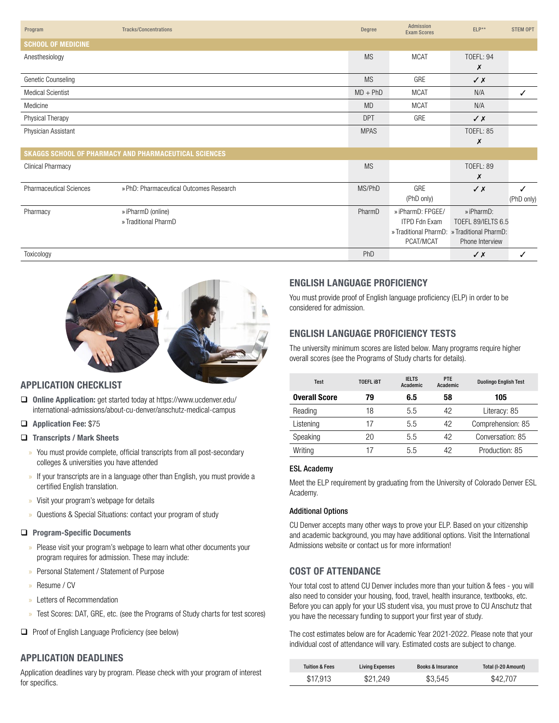| Program                        | <b>Tracks/Concentrations</b>                          | <b>Degree</b> | Admission<br><b>Exam Scores</b>             | $ELP**$            | <b>STEM OPT</b> |
|--------------------------------|-------------------------------------------------------|---------------|---------------------------------------------|--------------------|-----------------|
| <b>SCHOOL OF MEDICINE</b>      |                                                       |               |                                             |                    |                 |
| Anesthesiology                 |                                                       | <b>MS</b>     | <b>MCAT</b>                                 | <b>TOEFL: 94</b>   |                 |
|                                |                                                       |               |                                             | X                  |                 |
| Genetic Counseling             |                                                       | <b>MS</b>     | GRE                                         | $\sqrt{x}$         |                 |
| <b>Medical Scientist</b>       |                                                       | $MD + PhD$    | <b>MCAT</b>                                 | N/A                | ✓               |
| Medicine                       |                                                       | <b>MD</b>     | <b>MCAT</b>                                 | N/A                |                 |
| Physical Therapy               |                                                       | <b>DPT</b>    | GRE                                         | $\sqrt{x}$         |                 |
| Physician Assistant            |                                                       | <b>MPAS</b>   |                                             | <b>TOEFL: 85</b>   |                 |
|                                |                                                       |               |                                             | X                  |                 |
|                                | SKAGGS SCHOOL OF PHARMACY AND PHARMACEUTICAL SCIENCES |               |                                             |                    |                 |
| <b>Clinical Pharmacy</b>       |                                                       | <b>MS</b>     |                                             | <b>TOEFL: 89</b>   |                 |
|                                |                                                       |               |                                             | X                  |                 |
| <b>Pharmaceutical Sciences</b> | » PhD: Pharmaceutical Outcomes Research               | MS/PhD        | GRE                                         | $\sqrt{x}$         | ✓               |
|                                |                                                       |               | (PhD only)                                  |                    | (PhD only)      |
| Pharmacy                       | » iPharmD (online)                                    | PharmD        | » iPharmD: FPGEE/                           | » iPharmD:         |                 |
|                                | » Traditional PharmD                                  |               | <b>ITPD Fdn Exam</b>                        | TOEFL 89/IELTS 6.5 |                 |
|                                |                                                       |               | » Traditional PharmD: » Traditional PharmD: |                    |                 |
|                                |                                                       |               | PCAT/MCAT                                   | Phone Interview    |                 |
| Toxicology                     |                                                       | PhD           |                                             | $\checkmark$ x     | ✓               |



# APPLICATION CHECKLIST

- □ Online Application: get started today at https://www.ucdenver.edu/ international-admissions/about-cu-denver/anschutz-medical-campus
- Application Fee: \$75
- $\Box$  Transcripts / Mark Sheets
	- » You must provide complete, official transcripts from all post-secondary colleges & universities you have attended
	- » If your transcripts are in a language other than English, you must provide a certified English translation.
	- » Visit your program's webpage for details
	- » Questions & Special Situations: contact your program of study

#### **Program-Specific Documents**

- » Please visit your program's webpage to learn what other documents your program requires for admission. These may include:
- » Personal Statement / Statement of Purpose
- » Resume / CV
- » Letters of Recommendation
- » Test Scores: DAT, GRE, etc. (see the Programs of Study charts for test scores)
- **Q** Proof of English Language Proficiency (see below)

# APPLICATION DEADLINES

Application deadlines vary by program. Please check with your program of interest for specifics.

# ENGLISH LANGUAGE PROFICIENCY

You must provide proof of English language proficiency (ELP) in order to be considered for admission.

# ENGLISH LANGUAGE PROFICIENCY TESTS

The university minimum scores are listed below. Many programs require higher overall scores (see the Programs of Study charts for details).

| <b>Test</b>          | <b>TOEFL IBT</b> | <b>IELTS</b><br>Academic | <b>PTE</b><br>Academic | <b>Duolingo English Test</b> |
|----------------------|------------------|--------------------------|------------------------|------------------------------|
| <b>Overall Score</b> | 79               | 6.5                      | 58                     | 105                          |
| Reading              | 18               | 5.5                      | 42                     | Literacy: 85                 |
| Listening            | 17               | 5.5                      | 42                     | Comprehension: 85            |
| Speaking             | 20               | 5.5                      | 42                     | Conversation: 85             |
| Writing              | 17               | 5.5                      | 42                     | Production: 85               |

#### ESL Academy

Meet the ELP requirement by graduating from the University of Colorado Denver ESL Academy.

#### Additional Options

CU Denver accepts many other ways to prove your ELP. Based on your citizenship and academic background, you may have additional options. Visit the International Admissions website or contact us for more information!

# COST OF ATTENDANCE

Your total cost to attend CU Denver includes more than your tuition & fees - you will also need to consider your housing, food, travel, health insurance, textbooks, etc. Before you can apply for your US student visa, you must prove to CU Anschutz that you have the necessary funding to support your first year of study.

The cost estimates below are for Academic Year 2021-2022. Please note that your individual cost of attendance will vary. Estimated costs are subject to change.

| <b>Tuition &amp; Fees</b> | <b>Living Expenses</b> | <b>Books &amp; Insurance</b> | Total (I-20 Amount) |
|---------------------------|------------------------|------------------------------|---------------------|
| \$17.913                  | \$21.249               | \$3,545                      | \$42,707            |